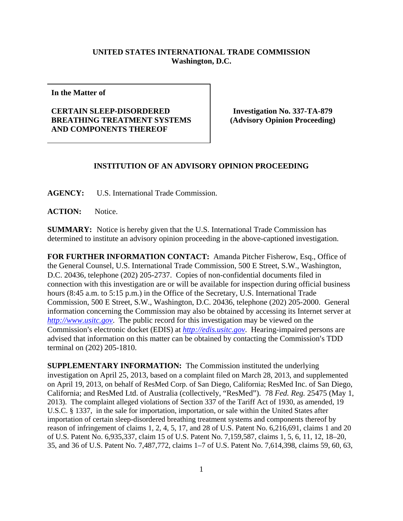## **UNITED STATES INTERNATIONAL TRADE COMMISSION Washington, D.C.**

**In the Matter of** 

## **CERTAIN SLEEP-DISORDERED BREATHING TREATMENT SYSTEMS AND COMPONENTS THEREOF**

**Investigation No. 337-TA-879 (Advisory Opinion Proceeding)** 

## **INSTITUTION OF AN ADVISORY OPINION PROCEEDING**

**AGENCY:** U.S. International Trade Commission.

ACTION: Notice.

**SUMMARY:** Notice is hereby given that the U.S. International Trade Commission has determined to institute an advisory opinion proceeding in the above-captioned investigation.

**FOR FURTHER INFORMATION CONTACT:** Amanda Pitcher Fisherow, Esq., Office of the General Counsel, U.S. International Trade Commission, 500 E Street, S.W., Washington, D.C. 20436, telephone (202) 205-2737. Copies of non-confidential documents filed in connection with this investigation are or will be available for inspection during official business hours (8:45 a.m. to 5:15 p.m.) in the Office of the Secretary, U.S. International Trade Commission, 500 E Street, S.W., Washington, D.C. 20436, telephone (202) 205-2000. General information concerning the Commission may also be obtained by accessing its Internet server at *http://www.usitc.gov*. The public record for this investigation may be viewed on the Commission's electronic docket (EDIS) at *http://edis.usitc.gov*. Hearing-impaired persons are advised that information on this matter can be obtained by contacting the Commission's TDD terminal on (202) 205-1810.

**SUPPLEMENTARY INFORMATION:** The Commission instituted the underlying investigation on April 25, 2013, based on a complaint filed on March 28, 2013, and supplemented on April 19, 2013, on behalf of ResMed Corp. of San Diego, California; ResMed Inc. of San Diego, California; and ResMed Ltd. of Australia (collectively, "ResMed"). 78 *Fed. Reg.* 25475 (May 1, 2013). The complaint alleged violations of Section 337 of the Tariff Act of 1930, as amended, 19 U.S.C. § 1337, in the sale for importation, importation, or sale within the United States after importation of certain sleep-disordered breathing treatment systems and components thereof by reason of infringement of claims 1, 2, 4, 5, 17, and 28 of U.S. Patent No. 6,216,691, claims 1 and 20 of U.S. Patent No. 6,935,337, claim 15 of U.S. Patent No. 7,159,587, claims 1, 5, 6, 11, 12, 18–20, 35, and 36 of U.S. Patent No. 7,487,772, claims 1–7 of U.S. Patent No. 7,614,398, claims 59, 60, 63,